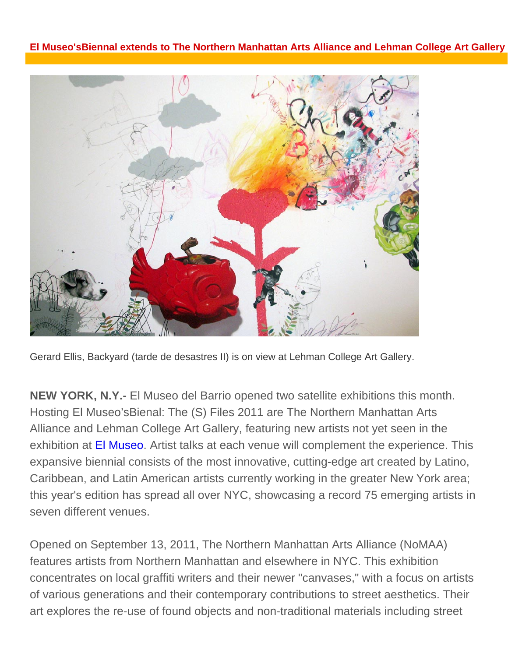## **El Museo'sBiennal extends to The Northern Manhattan Arts Alliance and Lehman College Art Gallery**



Gerard Ellis, Backyard (tarde de desastres II) is on view at Lehman College Art Gallery.

**NEW YORK, N.Y.-** El Museo del Barrio opened two satellite exhibitions this month. Hosting El Museo'sBienal: The (S) Files 2011 are The Northern Manhattan Arts Alliance and Lehman College Art Gallery, featuring new artists not yet seen in the exhibition at El Museo. Artist talks at each venue will complement the experience. This expansive biennial consists of the most innovative, cutting-edge art created by Latino, Caribbean, and Latin American artists currently working in the greater New York area; this year's edition has spread all over NYC, showcasing a record 75 emerging artists in seven different venues.

Opened on September 13, 2011, The Northern Manhattan Arts Alliance (NoMAA) features artists from Northern Manhattan and elsewhere in NYC. This exhibition concentrates on local graffiti writers and their newer "canvases," with a focus on artists of various generations and their contemporary contributions to street aesthetics. Their art explores the re-use of found objects and non-traditional materials including street